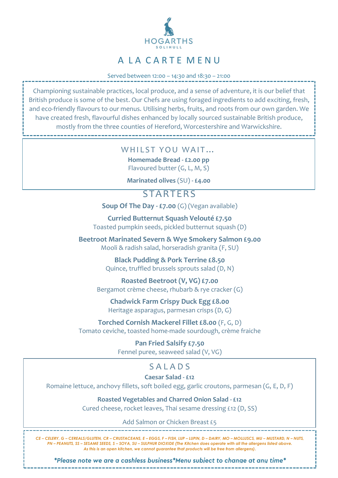

### A LA CARTE MENU

Served between 12:00 – 14:30 and 18:30 – 21:00

Championing sustainable practices, local produce, and a sense of adventure, it is our belief that British produce is some of the best. Our Chefs are using foraged ingredients to add exciting, fresh, and eco-friendly flavours to our menus. Utilising herbs, fruits, and roots from our own garden. We have created fresh, flavourful dishes enhanced by locally sourced sustainable British produce, mostly from the three counties of Hereford, Worcestershire and Warwickshire.

#### WHILST YOU WAIT...

**Homemade Bread - £2.00 pp** Flavoured butter (G, L, M, S)

**Marinated olives** (SU) **- £4.00**

# **STARTERS**

**Soup Of The Day - £7.00** (G) (Vegan available)

**Curried Butternut Squash Velouté £7.50**  Toasted pumpkin seeds, pickled butternut squash (D)

**Beetroot Marinated Severn & Wye Smokery Salmon £9.00**  Mooli & radish salad, horseradish granita (F, SU)

> **Black Pudding & Pork Terrine £8.50**  Quince, truffled brussels sprouts salad (D, N)

**Roasted Beetroot (V, VG) £7.00**  Bergamot crème cheese, rhubarb & rye cracker (G)

**Chadwick Farm Crispy Duck Egg £8.00**  Heritage asparagus, parmesan crisps (D, G)

#### **Torched Cornish Mackerel Fillet £8.00** (F, G, D) Tomato ceviche, toasted home-made sourdough, crème fraiche

**Pan Fried Salsify £7.50**  Fennel puree, seaweed salad (V, VG)

### SAIAD<sub>S</sub>

**Caesar Salad - £12** 

Romaine lettuce, anchovy fillets, soft boiled egg, garlic croutons, parmesan (G, E, D, F)

**Roasted Vegetables and Charred Onion Salad - £12** 

Cured cheese, rocket leaves, Thai sesame dressing £12 (D, SS)

Add Salmon or Chicken Breast £5

CE-CELERY, G-CEREALS/GLUTEN, CR-CRUSTACEANS, E-EGGS, F-FISH, LUP-LUPIN, D-DAIRY, MO-MOLLUSCS, MU-MUSTARD, N-NUTS *PN – PEANUTS, SS – SESAME SEEDS, S – SOYA, SU – SULPHUR DIOXIDE (The Kitchen does operate with all the allergens listed above. As this is an open kitchen, we cannot guarantee that products will be free from allergens).*

\*Please note we are a cashless business\*Menu subject to change at any time\*